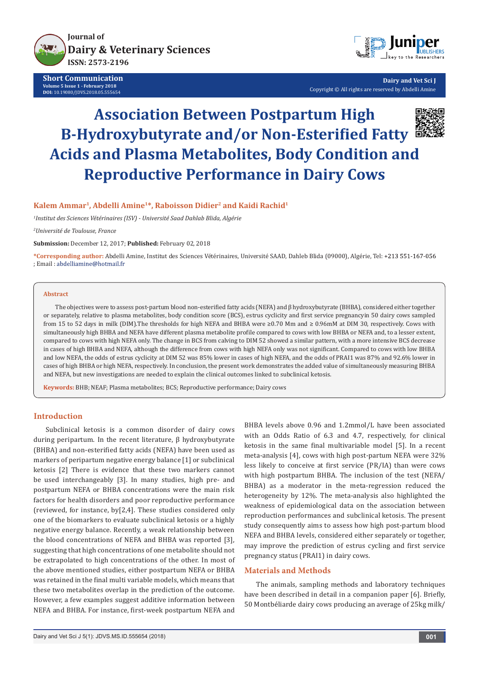

**Short Communication Volume 5 Issue 1 - February 2018 DOI:** [10.19080/JDVS.2018.05.555654](http://dx.doi.org/10.19080/JDVS.2018.05.555654)



**Dairy and Vet Sci J** Copyright © All rights are reserved by Abdelli Amine

# **Association Between Postpartum High Β-Hydroxybutyrate and/or Non-Esterified Fatty Acids and Plasma Metabolites, Body Condition and Reproductive Performance in Dairy Cows**



# **Kalem Ammar1, Abdelli Amine1\*, Raboisson Didier2 and Kaidi Rachid1**

*1 Institut des Sciences Vétérinaires (ISV) - Université Saad Dahlab Blida, Algérie*

*2 Université de Toulouse, France*

**Submission:** December 12, 2017; **Published:** February 02, 2018

**\*Corresponding author:** Abdelli Amine, Institut des Sciences Vétérinaires, Université SAAD, Dahleb Blida (09000), Algérie, Tel: ; Email :

# **Abstract**

The objectives were to assess post-partum blood non-esterified fatty acids (NEFA) and β hydroxybutyrate (BHBA), considered either together or separately, relative to plasma metabolites, body condition score (BCS), estrus cyclicity and first service pregnancyin 50 dairy cows sampled from 15 to 52 days in milk (DIM).The thresholds for high NEFA and BHBA were ≥0.70 Mm and ≥ 0.96mM at DIM 30, respectively. Cows with simultaneously high BHBA and NEFA have different plasma metabolite profile compared to cows with low BHBA or NEFA and, to a lesser extent, compared to cows with high NEFA only. The change in BCS from calving to DIM 52 showed a similar pattern, with a more intensive BCS decrease in cases of high BHBA and NEFA, although the difference from cows with high NEFA only was not significant. Compared to cows with low BHBA and low NEFA, the odds of estrus cyclicity at DIM 52 was 85% lower in cases of high NEFA, and the odds of PRAI1 was 87% and 92.6% lower in cases of high BHBA or high NEFA, respectively. In conclusion, the present work demonstrates the added value of simultaneously measuring BHBA and NEFA, but new investigations are needed to explain the clinical outcomes linked to subclinical ketosis.

**Keywords:** BHB; NEAF; Plasma metabolites; BCS; Reproductive performance; Dairy cows

# **Introduction**

Subclinical ketosis is a common disorder of dairy cows during peripartum. In the recent literature, β hydroxybutyrate (BHBA) and non-esterified fatty acids (NEFA) have been used as markers of peripartum negative energy balance [1] or subclinical ketosis [2] There is evidence that these two markers cannot be used interchangeably [3]. In many studies, high pre- and postpartum NEFA or BHBA concentrations were the main risk factors for health disorders and poor reproductive performance (reviewed, for instance, by[2,4]. These studies considered only one of the biomarkers to evaluate subclinical ketosis or a highly negative energy balance. Recently, a weak relationship between the blood concentrations of NEFA and BHBA was reported [3], suggesting that high concentrations of one metabolite should not be extrapolated to high concentrations of the other. In most of the above mentioned studies, either postpartum NEFA or BHBA was retained in the final multi variable models, which means that these two metabolites overlap in the prediction of the outcome. However, a few examples suggest additive information between NEFA and BHBA. For instance, first-week postpartum NEFA and

BHBA levels above 0.96 and 1.2mmol/L have been associated with an Odds Ratio of 6.3 and 4.7, respectively, for clinical ketosis in the same final multivariable model [5]. In a recent meta-analysis [4], cows with high post-partum NEFA were 32% less likely to conceive at first service (PR/IA) than were cows with high postpartum BHBA. The inclusion of the test (NEFA/ BHBA) as a moderator in the meta-regression reduced the heterogeneity by 12%. The meta-analysis also highlighted the weakness of epidemiological data on the association between reproduction performances and subclinical ketosis. The present study consequently aims to assess how high post-partum blood NEFA and BHBA levels, considered either separately or together, may improve the prediction of estrus cycling and first service pregnancy status (PRAI1) in dairy cows.

#### **Materials and Methods**

The animals, sampling methods and laboratory techniques have been described in detail in a companion paper [6]. Briefly, 50 Montbéliarde dairy cows producing an average of 25kg milk/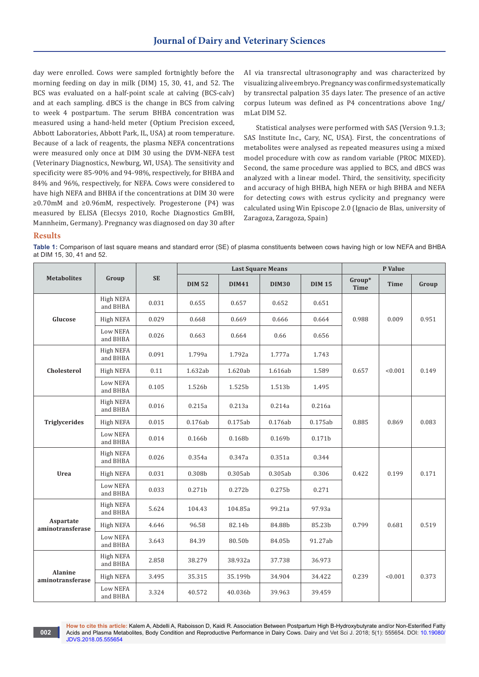day were enrolled. Cows were sampled fortnightly before the morning feeding on day in milk (DIM) 15, 30, 41, and 52. The BCS was evaluated on a half-point scale at calving (BCS-calv) and at each sampling. dBCS is the change in BCS from calving to week 4 postpartum. The serum BHBA concentration was measured using a hand-held meter (Optium Precision exceed, Abbott Laboratories, Abbott Park, IL, USA) at room temperature. Because of a lack of reagents, the plasma NEFA concentrations were measured only once at DIM 30 using the DVM-NEFA test (Veterinary Diagnostics, Newburg, WI, USA). The sensitivity and specificity were 85-90% and 94-98%, respectively, for BHBA and 84% and 96%, respectively, for NEFA. Cows were considered to have high NEFA and BHBA if the concentrations at DIM 30 were ≥0.70mM and ≥0.96mM, respectively. Progesterone (P4) was measured by ELISA (Elecsys 2010, Roche Diagnostics GmBH, Mannheim, Germany). Pregnancy was diagnosed on day 30 after AI via transrectal ultrasonography and was characterized by visualizing alive embryo. Pregnancy was confirmed systematically by transrectal palpation 35 days later. The presence of an active corpus luteum was defined as P4 concentrations above 1ng/ mLat DIM 52.

Statistical analyses were performed with SAS (Version 9.1.3; SAS Institute Inc., Cary, NC, USA). First, the concentrations of metabolites were analysed as repeated measures using a mixed model procedure with cow as random variable (PROC MIXED). Second, the same procedure was applied to BCS, and dBCS was analyzed with a linear model. Third, the sensitivity, specificity and accuracy of high BHBA, high NEFA or high BHBA and NEFA for detecting cows with estrus cyclicity and pregnancy were calculated using Win Episcope 2.0 (Ignacio de Blas, university of Zaragoza, Zaragoza, Spain)

#### **Results**

**Table 1:** Comparison of last square means and standard error (SE) of plasma constituents between cows having high or low NEFA and BHBA at DIM 15, 30, 41 and 52.

| <b>Metabolites</b>                 | Group                       | <b>SE</b> | <b>Last Square Means</b> |              |              |               | P Value        |             |       |
|------------------------------------|-----------------------------|-----------|--------------------------|--------------|--------------|---------------|----------------|-------------|-------|
|                                    |                             |           | <b>DIM 52</b>            | <b>DIM41</b> | <b>DIM30</b> | <b>DIM 15</b> | Group*<br>Time | <b>Time</b> | Group |
| Glucose                            | High NEFA<br>and BHBA       | 0.031     | 0.655                    | 0.657        | 0.652        | 0.651         | 0.988          | 0.009       | 0.951 |
|                                    | High NEFA                   | 0.029     | 0.668                    | 0.669        | 0.666        | 0.664         |                |             |       |
|                                    | <b>Low NEFA</b><br>and BHBA | 0.026     | 0.663                    | 0.664        | 0.66         | 0.656         |                |             |       |
| Cholesterol                        | High NEFA<br>and BHBA       | 0.091     | 1.799a                   | 1.792a       | 1.777a       | 1.743         | 0.657          | < 0.001     | 0.149 |
|                                    | High NEFA                   | 0.11      | 1.632ab                  | 1.620ab      | 1.616ab      | 1.589         |                |             |       |
|                                    | Low NEFA<br>and BHBA        | 0.105     | 1.526b                   | 1.525b       | 1.513b       | 1.495         |                |             |       |
| <b>Triglycerides</b>               | High NEFA<br>and BHBA       | 0.016     | 0.215a                   | 0.213a       | 0.214a       | 0.216a        | 0.885          | 0.869       | 0.083 |
|                                    | High NEFA                   | 0.015     | 0.176ab                  | 0.175ab      | 0.176ab      | 0.175ab       |                |             |       |
|                                    | <b>Low NEFA</b><br>and BHBA | 0.014     | 0.166b                   | 0.168b       | 0.169b       | 0.171b        |                |             |       |
| Urea                               | High NEFA<br>and BHBA       | 0.026     | 0.354a                   | 0.347a       | 0.351a       | 0.344         | 0.422          | 0.199       | 0.171 |
|                                    | High NEFA                   | 0.031     | 0.308b                   | 0.305ab      | 0.305ab      | 0.306         |                |             |       |
|                                    | <b>Low NEFA</b><br>and BHBA | 0.033     | 0.271b                   | 0.272b       | 0.275b       | 0.271         |                |             |       |
| Aspartate<br>aminotransferase      | High NEFA<br>and BHBA       | 5.624     | 104.43                   | 104.85a      | 99.21a       | 97.93a        | 0.799          | 0.681       | 0.519 |
|                                    | High NEFA                   | 4.646     | 96.58                    | 82.14b       | 84.88b       | 85.23b        |                |             |       |
|                                    | <b>Low NEFA</b><br>and BHBA | 3.643     | 84.39                    | 80.50b       | 84.05b       | 91.27ab       |                |             |       |
| <b>Alanine</b><br>aminotransferase | High NEFA<br>and BHBA       | 2.858     | 38.279                   | 38.932a      | 37.738       | 36.973        | 0.239          | < 0.001     | 0.373 |
|                                    | High NEFA                   | 3.495     | 35.315                   | 35.199b      | 34.904       | 34.422        |                |             |       |
|                                    | <b>Low NEFA</b><br>and BHBA | 3.324     | 40.572                   | 40.036b      | 39.963       | 39.459        |                |             |       |

**How to cite this article:** Kalem A, Abdelli A, Raboisson D, Kaidi R. Association Between Postpartum High Β-Hydroxybutyrate and/or Non-Esterified Fatty Acids and Plasma Metabolites, Body Condition and Reproductive Performance in Dairy Cows. Dairy and Vet Sci J. 2018; 5(1): 555654. DOI: [10.19080/](http://dx.doi.org/10.19080/JDVS.2018.05.555654) [JDVS.2018.05.555654](http://dx.doi.org/10.19080/JDVS.2018.05.555654)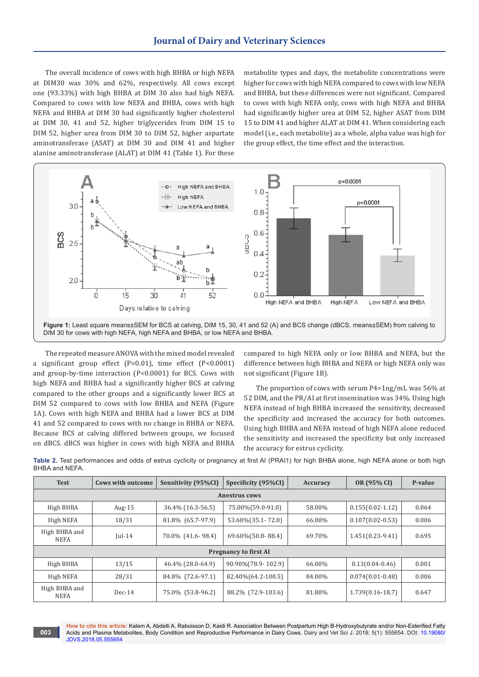The overall incidence of cows with high BHBA or high NEFA at DIM30 was 30% and 62%, respectively. All cows except one (93.33%) with high BHBA at DIM 30 also had high NEFA. Compared to cows with low NEFA and BHBA, cows with high NEFA and BHBA at DIM 30 had significantly higher cholesterol at DIM 30, 41 and 52, higher triglycerides from DIM 15 to DIM 52, higher urea from DIM 30 to DIM 52, higher aspartate aminotransferase (ASAT) at DIM 30 and DIM 41 and higher alanine aminotransferase (ALAT) at DIM 41 (Table 1). For these

metabolite types and days, the metabolite concentrations were higher for cows with high NEFA compared to cows with low NEFA and BHBA, but these differences were not significant. Compared to cows with high NEFA only, cows with high NEFA and BHBA had significantly higher urea at DIM 52, higher ASAT from DIM 15 to DIM 41 and higher ALAT at DIM 41. When considering each model (i.e., each metabolite) as a whole, alpha value was high for the group effect, the time effect and the interaction.



The repeated measure ANOVA with the mixed model revealed a significant group effect (P=0.01), time effect (P<0.0001) and group-by-time interaction (P<0.0001) for BCS. Cows with high NEFA and BHBA had a significantly higher BCS at calving compared to the other groups and a significantly lower BCS at DIM 52 compared to cows with low BHBA and NEFA (Figure 1A). Cows with high NEFA and BHBA had a lower BCS at DIM 41 and 52 compared to cows with no change in BHBA or NEFA. Because BCS at calving differed between groups, we focused on dBCS. dBCS was higher in cows with high NEFA and BHBA

**003**

compared to high NEFA only or low BHBA and NEFA, but the difference between high BHBA and NEFA or high NEFA only was not significant (Figure 1B).

The proportion of cows with serum P4>1ng/mL was 56% at 52 DIM, and the PR/AI at first insemination was 34%. Using high NEFA instead of high BHBA increased the sensitivity, decreased the specificity and increased the accuracy for both outcomes. Using high BHBA and NEFA instead of high NEFA alone reduced the sensitivity and increased the specificity but only increased the accuracy for estrus cyclicity.

| <b>Test</b>                  | <b>Cows with outcome</b> | Sensitivity (95%CI) | Specificity (95%CI) | Accuracy | OR (95% CI)        | P-value |  |  |  |  |  |  |  |
|------------------------------|--------------------------|---------------------|---------------------|----------|--------------------|---------|--|--|--|--|--|--|--|
| <b>Anestrus cows</b>         |                          |                     |                     |          |                    |         |  |  |  |  |  |  |  |
| High BHBA                    | Aug- $15$                | 36.4% (16.3-56.5)   | 75.00%(59.0-91.0)   | 58.00%   | $0.155(0.02-1.12)$ | 0.064   |  |  |  |  |  |  |  |
| High NEFA                    | 18/31                    | 81.8% (65.7-97.9)   | 53.60%(35.1-72.0)   | 66.00%   | $0.107(0.02-0.53)$ | 0.006   |  |  |  |  |  |  |  |
| High BHBA and<br>NEFA        | $\text{Iul-14}$          | 70.0% (41.6-98.4)   | 69.60%(50.8-88.4)   | 69.70%   | $1.451(0.23-9.41)$ | 0.695   |  |  |  |  |  |  |  |
| <b>Pregnancy to first AI</b> |                          |                     |                     |          |                    |         |  |  |  |  |  |  |  |
| High BHBA                    | 13/15                    | 46.4% (28.0-64.9)   | 90.90%(78.9-102.9)  | 66.00%   | $0.13(0.04-0.46)$  | 0.001   |  |  |  |  |  |  |  |
| High NEFA                    | 28/31                    | 84.8% (72.6-97.1)   | 82.40% (64.2-100.5) | 84.00%   | $0.074(0.01-0.48)$ | 0.006   |  |  |  |  |  |  |  |
| High BHBA and<br><b>NEFA</b> | $Dec-14$                 | 75.0% (53.8-96.2)   | 88.2\% (72.9-103.6) | 81.80%   | $1.739(0.16-18.7)$ | 0.647   |  |  |  |  |  |  |  |

**Table 2.** Test performances and odds of estrus cyclicity or pregnancy at first AI (PRAI1) for high BHBA alone, high NEFA alone or both high BHBA and NEFA.